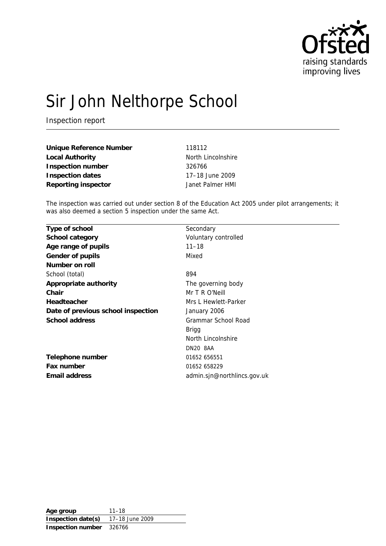

# Sir John Nelthorpe School

Inspection report

| Unique Reference Number | 118112             |
|-------------------------|--------------------|
| Local Authority         | North Lincolnshire |
| Inspection number       | 326766             |
| Inspection dates        | 17-18 June 2009    |
| Reporting inspector     | Janet Palmer HMI   |

The inspection was carried out under section 8 of the Education Act 2005 under pilot arrangements; it was also deemed a section 5 inspection under the same Act.

| Type of school                     | Secondary                   |
|------------------------------------|-----------------------------|
| School category                    | Voluntary controlled        |
| Age range of pupils                | $11 - 18$                   |
| Gender of pupils                   | Mixed                       |
| Number on roll                     |                             |
| School (total)                     | 894                         |
| Appropriate authority              | The governing body          |
| Chair                              | Mr T R O'Neill              |
| Headteacher                        | Mrs L Hewlett-Parker        |
| Date of previous school inspection | January 2006                |
| School address                     | Grammar School Road         |
|                                    | Brigg                       |
|                                    | North Lincolnshire          |
|                                    | DN20 8AA                    |
| Telephone number                   | 01652 656551                |
| Fax number                         | 01652 658229                |
| Email address                      | admin.sjn@northlincs.gov.uk |
|                                    |                             |

**Age group** 11–18 **Inspection date(s)** 17–18 June 2009 **Inspection number** 326766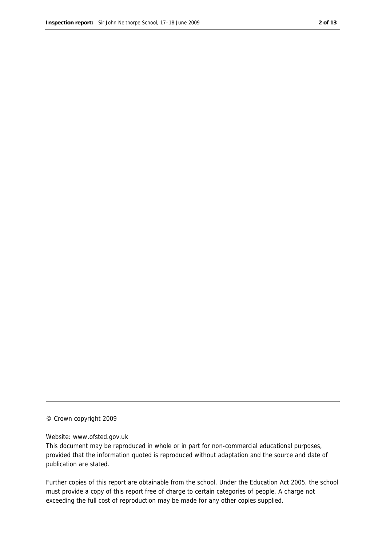#### © Crown copyright 2009

#### Website: www.ofsted.gov.uk

This document may be reproduced in whole or in part for non-commercial educational purposes, provided that the information quoted is reproduced without adaptation and the source and date of publication are stated.

Further copies of this report are obtainable from the school. Under the Education Act 2005, the school must provide a copy of this report free of charge to certain categories of people. A charge not exceeding the full cost of reproduction may be made for any other copies supplied.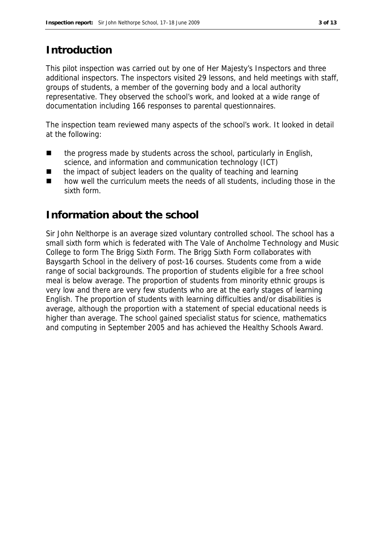#### **Introduction**

This pilot inspection was carried out by one of Her Majesty's Inspectors and three additional inspectors. The inspectors visited 29 lessons, and held meetings with staff, groups of students, a member of the governing body and a local authority representative. They observed the school's work, and looked at a wide range of documentation including 166 responses to parental questionnaires.

The inspection team reviewed many aspects of the school's work. It looked in detail at the following:

- $\blacksquare$  the progress made by students across the school, particularly in English, science, and information and communication technology (ICT)
- the impact of subject leaders on the quality of teaching and learning
- how well the curriculum meets the needs of all students, including those in the sixth form.

#### **Information about the school**

Sir John Nelthorpe is an average sized voluntary controlled school. The school has a small sixth form which is federated with The Vale of Ancholme Technology and Music College to form The Brigg Sixth Form. The Brigg Sixth Form collaborates with Baysgarth School in the delivery of post-16 courses. Students come from a wide range of social backgrounds. The proportion of students eligible for a free school meal is below average. The proportion of students from minority ethnic groups is very low and there are very few students who are at the early stages of learning English. The proportion of students with learning difficulties and/or disabilities is average, although the proportion with a statement of special educational needs is higher than average. The school gained specialist status for science, mathematics and computing in September 2005 and has achieved the Healthy Schools Award.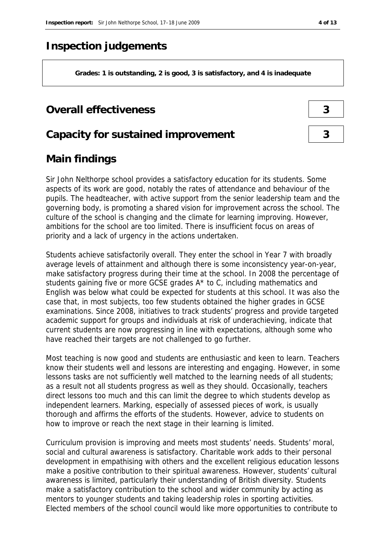#### **Inspection judgements**

**Grades: 1 is outstanding, 2 is good, 3 is satisfactory, and 4 is inadequate**

#### **Overall effectiveness 3**

#### **Capacity for sustained improvement 3**

#### **Main findings**

Sir John Nelthorpe school provides a satisfactory education for its students. Some aspects of its work are good, notably the rates of attendance and behaviour of the pupils. The headteacher, with active support from the senior leadership team and the governing body, is promoting a shared vision for improvement across the school. The culture of the school is changing and the climate for learning improving. However, ambitions for the school are too limited. There is insufficient focus on areas of priority and a lack of urgency in the actions undertaken.

Students achieve satisfactorily overall. They enter the school in Year 7 with broadly average levels of attainment and although there is some inconsistency year-on-year, make satisfactory progress during their time at the school. In 2008 the percentage of students gaining five or more GCSE grades A\* to C, including mathematics and English was below what could be expected for students at this school. It was also the case that, in most subjects, too few students obtained the higher grades in GCSE examinations. Since 2008, initiatives to track students' progress and provide targeted academic support for groups and individuals at risk of underachieving, indicate that current students are now progressing in line with expectations, although some who have reached their targets are not challenged to go further.

Most teaching is now good and students are enthusiastic and keen to learn. Teachers know their students well and lessons are interesting and engaging. However, in some lessons tasks are not sufficiently well matched to the learning needs of all students; as a result not all students progress as well as they should. Occasionally, teachers direct lessons too much and this can limit the degree to which students develop as independent learners. Marking, especially of assessed pieces of work, is usually thorough and affirms the efforts of the students. However, advice to students on how to improve or reach the next stage in their learning is limited.

Curriculum provision is improving and meets most students' needs. Students' moral, social and cultural awareness is satisfactory. Charitable work adds to their personal development in empathising with others and the excellent religious education lessons make a positive contribution to their spiritual awareness. However, students' cultural awareness is limited, particularly their understanding of British diversity. Students make a satisfactory contribution to the school and wider community by acting as mentors to younger students and taking leadership roles in sporting activities. Elected members of the school council would like more opportunities to contribute to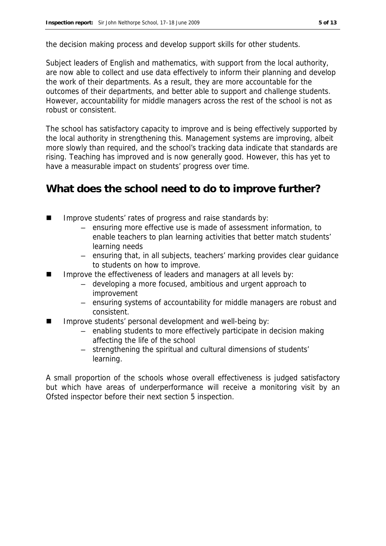the decision making process and develop support skills for other students.

Subject leaders of English and mathematics, with support from the local authority, are now able to collect and use data effectively to inform their planning and develop the work of their departments. As a result, they are more accountable for the outcomes of their departments, and better able to support and challenge students. However, accountability for middle managers across the rest of the school is not as robust or consistent.

The school has satisfactory capacity to improve and is being effectively supported by the local authority in strengthening this. Management systems are improving, albeit more slowly than required, and the school's tracking data indicate that standards are rising. Teaching has improved and is now generally good. However, this has yet to have a measurable impact on students' progress over time.

#### **What does the school need to do to improve further?**

- Improve students' rates of progress and raise standards by:
	- ensuring more effective use is made of assessment information, to enable teachers to plan learning activities that better match students' learning needs
	- ensuring that, in all subjects, teachers' marking provides clear guidance to students on how to improve.
- Improve the effectiveness of leaders and managers at all levels by:
	- developing a more focused, ambitious and urgent approach to improvement
	- ensuring systems of accountability for middle managers are robust and consistent.
- Improve students' personal development and well-being by:
	- enabling students to more effectively participate in decision making affecting the life of the school
	- strengthening the spiritual and cultural dimensions of students' learning.

A small proportion of the schools whose overall effectiveness is judged satisfactory but which have areas of underperformance will receive a monitoring visit by an Ofsted inspector before their next section 5 inspection.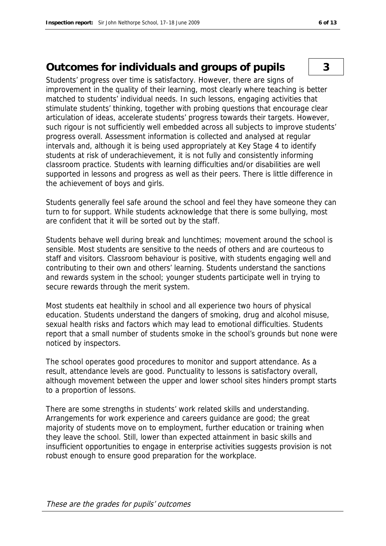## **Outcomes for individuals and groups of pupils 3**

Students' progress over time is satisfactory. However, there are signs of improvement in the quality of their learning, most clearly where teaching is better matched to students' individual needs. In such lessons, engaging activities that stimulate students' thinking, together with probing questions that encourage clear articulation of ideas, accelerate students' progress towards their targets. However, such rigour is not sufficiently well embedded across all subjects to improve students' progress overall. Assessment information is collected and analysed at regular intervals and, although it is being used appropriately at Key Stage 4 to identify students at risk of underachievement, it is not fully and consistently informing classroom practice. Students with learning difficulties and/or disabilities are well supported in lessons and progress as well as their peers. There is little difference in the achievement of boys and girls.

Students generally feel safe around the school and feel they have someone they can turn to for support. While students acknowledge that there is some bullying, most are confident that it will be sorted out by the staff.

Students behave well during break and lunchtimes; movement around the school is sensible. Most students are sensitive to the needs of others and are courteous to staff and visitors. Classroom behaviour is positive, with students engaging well and contributing to their own and others' learning. Students understand the sanctions and rewards system in the school; younger students participate well in trying to secure rewards through the merit system.

Most students eat healthily in school and all experience two hours of physical education. Students understand the dangers of smoking, drug and alcohol misuse, sexual health risks and factors which may lead to emotional difficulties. Students report that a small number of students smoke in the school's grounds but none were noticed by inspectors.

The school operates good procedures to monitor and support attendance. As a result, attendance levels are good. Punctuality to lessons is satisfactory overall, although movement between the upper and lower school sites hinders prompt starts to a proportion of lessons.

There are some strengths in students' work related skills and understanding. Arrangements for work experience and careers guidance are good; the great majority of students move on to employment, further education or training when they leave the school. Still, lower than expected attainment in basic skills and insufficient opportunities to engage in enterprise activities suggests provision is not robust enough to ensure good preparation for the workplace.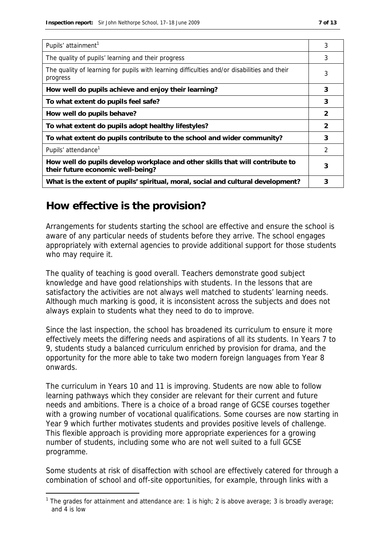| Pupils' attainment <sup>1</sup>                                                                                    | 3 |
|--------------------------------------------------------------------------------------------------------------------|---|
| The quality of pupils' learning and their progress                                                                 | 3 |
| The quality of learning for pupils with learning difficulties and/or disabilities and their<br>progress            | 3 |
| How well do pupils achieve and enjoy their learning?                                                               | 3 |
| To what extent do pupils feel safe?                                                                                | 3 |
| How well do pupils behave?                                                                                         | 2 |
| To what extent do pupils adopt healthy lifestyles?                                                                 | 2 |
| To what extent do pupils contribute to the school and wider community?                                             | 3 |
| Pupils' attendance <sup>1</sup>                                                                                    | 2 |
| How well do pupils develop workplace and other skills that will contribute to<br>their future economic well-being? | 3 |
| What is the extent of pupils' spiritual, moral, social and cultural development?                                   | 3 |

## **How effective is the provision?**

-

Arrangements for students starting the school are effective and ensure the school is aware of any particular needs of students before they arrive. The school engages appropriately with external agencies to provide additional support for those students who may require it.

The quality of teaching is good overall. Teachers demonstrate good subject knowledge and have good relationships with students. In the lessons that are satisfactory the activities are not always well matched to students' learning needs. Although much marking is good, it is inconsistent across the subjects and does not always explain to students what they need to do to improve.

Since the last inspection, the school has broadened its curriculum to ensure it more effectively meets the differing needs and aspirations of all its students. In Years 7 to 9, students study a balanced curriculum enriched by provision for drama, and the opportunity for the more able to take two modern foreign languages from Year 8 onwards.

The curriculum in Years 10 and 11 is improving. Students are now able to follow learning pathways which they consider are relevant for their current and future needs and ambitions. There is a choice of a broad range of GCSE courses together with a growing number of vocational qualifications. Some courses are now starting in Year 9 which further motivates students and provides positive levels of challenge. This flexible approach is providing more appropriate experiences for a growing number of students, including some who are not well suited to a full GCSE programme.

Some students at risk of disaffection with school are effectively catered for through a combination of school and off-site opportunities, for example, through links with a

<sup>&</sup>lt;sup>1</sup> The grades for attainment and attendance are: 1 is high; 2 is above average; 3 is broadly average; and 4 is low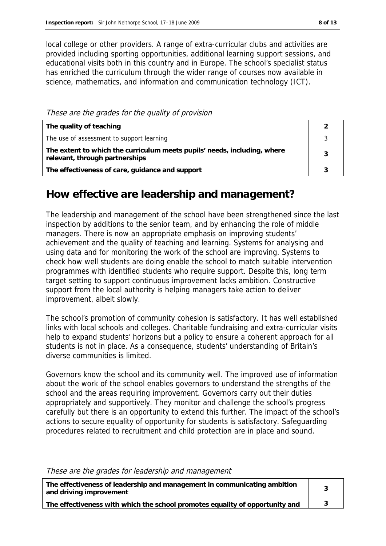local college or other providers. A range of extra-curricular clubs and activities are provided including sporting opportunities, additional learning support sessions, and educational visits both in this country and in Europe. The school's specialist status has enriched the curriculum through the wider range of courses now available in science, mathematics, and information and communication technology (ICT).

These are the grades for the quality of provision

| The quality of teaching                                                                                    |   |
|------------------------------------------------------------------------------------------------------------|---|
| The use of assessment to support learning                                                                  |   |
| The extent to which the curriculum meets pupils' needs, including, where<br>relevant, through partnerships | 3 |
| The effectiveness of care, guidance and support                                                            |   |

### **How effective are leadership and management?**

The leadership and management of the school have been strengthened since the last inspection by additions to the senior team, and by enhancing the role of middle managers. There is now an appropriate emphasis on improving students' achievement and the quality of teaching and learning. Systems for analysing and using data and for monitoring the work of the school are improving. Systems to check how well students are doing enable the school to match suitable intervention programmes with identified students who require support. Despite this, long term target setting to support continuous improvement lacks ambition. Constructive support from the local authority is helping managers take action to deliver improvement, albeit slowly.

The school's promotion of community cohesion is satisfactory. It has well established links with local schools and colleges. Charitable fundraising and extra-curricular visits help to expand students' horizons but a policy to ensure a coherent approach for all students is not in place. As a consequence, students' understanding of Britain's diverse communities is limited.

Governors know the school and its community well. The improved use of information about the work of the school enables governors to understand the strengths of the school and the areas requiring improvement. Governors carry out their duties appropriately and supportively. They monitor and challenge the school's progress carefully but there is an opportunity to extend this further. The impact of the school's actions to secure equality of opportunity for students is satisfactory. Safeguarding procedures related to recruitment and child protection are in place and sound.

These are the grades for leadership and management

| The effectiveness of leadership and management in communicating ambition<br>and driving improvement |  |  |
|-----------------------------------------------------------------------------------------------------|--|--|
| The effectiveness with which the school promotes equality of opportunity and                        |  |  |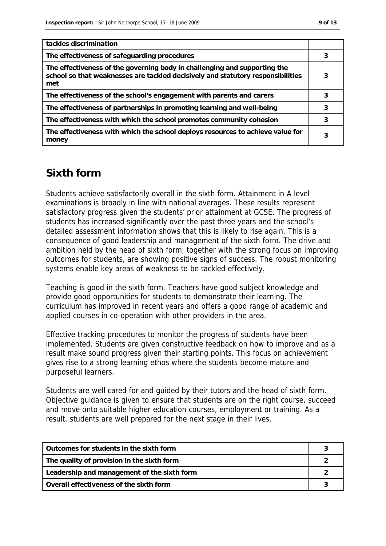| tackles discrimination                                                                                                                                              |   |
|---------------------------------------------------------------------------------------------------------------------------------------------------------------------|---|
| The effectiveness of safeguarding procedures                                                                                                                        | 3 |
| The effectiveness of the governing body in challenging and supporting the<br>school so that weaknesses are tackled decisively and statutory responsibilities<br>met | 3 |
| The effectiveness of the school's engagement with parents and carers                                                                                                | 3 |
| The effectiveness of partnerships in promoting learning and well-being                                                                                              | 3 |
| The effectiveness with which the school promotes community cohesion                                                                                                 | 3 |
| The effectiveness with which the school deploys resources to achieve value for<br>money                                                                             |   |

## **Sixth form**

Students achieve satisfactorily overall in the sixth form. Attainment in A level examinations is broadly in line with national averages. These results represent satisfactory progress given the students' prior attainment at GCSE. The progress of students has increased significantly over the past three years and the school's detailed assessment information shows that this is likely to rise again. This is a consequence of good leadership and management of the sixth form. The drive and ambition held by the head of sixth form, together with the strong focus on improving outcomes for students, are showing positive signs of success. The robust monitoring systems enable key areas of weakness to be tackled effectively.

Teaching is good in the sixth form. Teachers have good subject knowledge and provide good opportunities for students to demonstrate their learning. The curriculum has improved in recent years and offers a good range of academic and applied courses in co-operation with other providers in the area.

Effective tracking procedures to monitor the progress of students have been implemented. Students are given constructive feedback on how to improve and as a result make sound progress given their starting points. This focus on achievement gives rise to a strong learning ethos where the students become mature and purposeful learners.

Students are well cared for and guided by their tutors and the head of sixth form. Objective guidance is given to ensure that students are on the right course, succeed and move onto suitable higher education courses, employment or training. As a result, students are well prepared for the next stage in their lives.

| Outcomes for students in the sixth form     |  |
|---------------------------------------------|--|
| The quality of provision in the sixth form  |  |
| Leadership and management of the sixth form |  |
| Overall effectiveness of the sixth form     |  |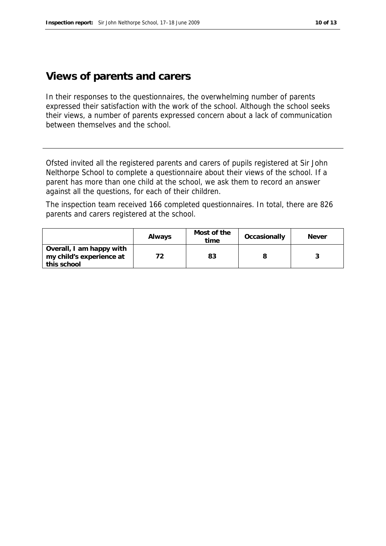#### **Views of parents and carers**

In their responses to the questionnaires, the overwhelming number of parents expressed their satisfaction with the work of the school. Although the school seeks their views, a number of parents expressed concern about a lack of communication between themselves and the school.

Ofsted invited all the registered parents and carers of pupils registered at Sir John Nelthorpe School to complete a questionnaire about their views of the school. If a parent has more than one child at the school, we ask them to record an answer against all the questions, for each of their children.

The inspection team received 166 completed questionnaires. In total, there are 826 parents and carers registered at the school.

|                                                                     | Always | Most of the<br>time | Occasionally | <b>Never</b> |
|---------------------------------------------------------------------|--------|---------------------|--------------|--------------|
| Overall, I am happy with<br>my child's experience at<br>this school |        | 83                  |              |              |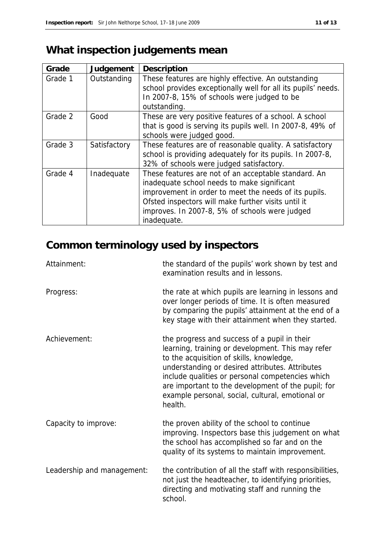# **What inspection judgements mean**

| Grade   | Judgement    | Description                                                                                                                                                                                                                                                                          |
|---------|--------------|--------------------------------------------------------------------------------------------------------------------------------------------------------------------------------------------------------------------------------------------------------------------------------------|
| Grade 1 | Outstanding  | These features are highly effective. An outstanding<br>school provides exceptionally well for all its pupils' needs.<br>In 2007-8, 15% of schools were judged to be<br>outstanding.                                                                                                  |
| Grade 2 | Good         | These are very positive features of a school. A school<br>that is good is serving its pupils well. In 2007-8, 49% of<br>schools were judged good.                                                                                                                                    |
| Grade 3 | Satisfactory | These features are of reasonable quality. A satisfactory<br>school is providing adequately for its pupils. In 2007-8,<br>32% of schools were judged satisfactory.                                                                                                                    |
| Grade 4 | Inadequate   | These features are not of an acceptable standard. An<br>inadequate school needs to make significant<br>improvement in order to meet the needs of its pupils.<br>Ofsted inspectors will make further visits until it<br>improves. In 2007-8, 5% of schools were judged<br>inadequate. |

# **Common terminology used by inspectors**

| Attainment:                | the standard of the pupils' work shown by test and<br>examination results and in lessons.                                                                                                                                                                                                                                                                                 |
|----------------------------|---------------------------------------------------------------------------------------------------------------------------------------------------------------------------------------------------------------------------------------------------------------------------------------------------------------------------------------------------------------------------|
| Progress:                  | the rate at which pupils are learning in lessons and<br>over longer periods of time. It is often measured<br>by comparing the pupils' attainment at the end of a<br>key stage with their attainment when they started.                                                                                                                                                    |
| Achievement:               | the progress and success of a pupil in their<br>learning, training or development. This may refer<br>to the acquisition of skills, knowledge,<br>understanding or desired attributes. Attributes<br>include qualities or personal competencies which<br>are important to the development of the pupil; for<br>example personal, social, cultural, emotional or<br>health. |
| Capacity to improve:       | the proven ability of the school to continue<br>improving. Inspectors base this judgement on what<br>the school has accomplished so far and on the<br>quality of its systems to maintain improvement.                                                                                                                                                                     |
| Leadership and management: | the contribution of all the staff with responsibilities,<br>not just the headteacher, to identifying priorities,<br>directing and motivating staff and running the<br>school.                                                                                                                                                                                             |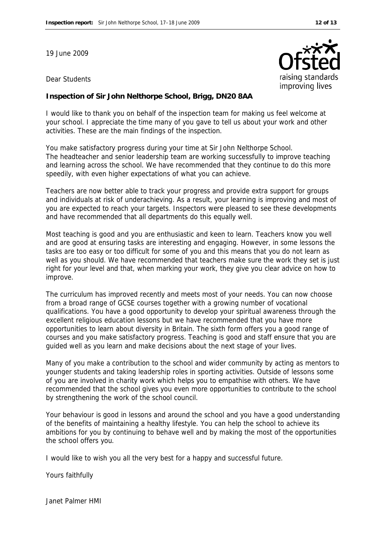19 June 2009

#### Dear Students



**Inspection of Sir John Nelthorpe School, Brigg, DN20 8AA**

I would like to thank you on behalf of the inspection team for making us feel welcome at your school. I appreciate the time many of you gave to tell us about your work and other activities. These are the main findings of the inspection.

You make satisfactory progress during your time at Sir John Nelthorpe School. The headteacher and senior leadership team are working successfully to improve teaching and learning across the school. We have recommended that they continue to do this more speedily, with even higher expectations of what you can achieve.

Teachers are now better able to track your progress and provide extra support for groups and individuals at risk of underachieving. As a result, your learning is improving and most of you are expected to reach your targets. Inspectors were pleased to see these developments and have recommended that all departments do this equally well.

Most teaching is good and you are enthusiastic and keen to learn. Teachers know you well and are good at ensuring tasks are interesting and engaging. However, in some lessons the tasks are too easy or too difficult for some of you and this means that you do not learn as well as you should. We have recommended that teachers make sure the work they set is just right for your level and that, when marking your work, they give you clear advice on how to improve.

The curriculum has improved recently and meets most of your needs. You can now choose from a broad range of GCSE courses together with a growing number of vocational qualifications. You have a good opportunity to develop your spiritual awareness through the excellent religious education lessons but we have recommended that you have more opportunities to learn about diversity in Britain. The sixth form offers you a good range of courses and you make satisfactory progress. Teaching is good and staff ensure that you are guided well as you learn and make decisions about the next stage of your lives.

Many of you make a contribution to the school and wider community by acting as mentors to younger students and taking leadership roles in sporting activities. Outside of lessons some of you are involved in charity work which helps you to empathise with others. We have recommended that the school gives you even more opportunities to contribute to the school by strengthening the work of the school council.

Your behaviour is good in lessons and around the school and you have a good understanding of the benefits of maintaining a healthy lifestyle. You can help the school to achieve its ambitions for you by continuing to behave well and by making the most of the opportunities the school offers you.

I would like to wish you all the very best for a happy and successful future.

Yours faithfully

Janet Palmer HMI